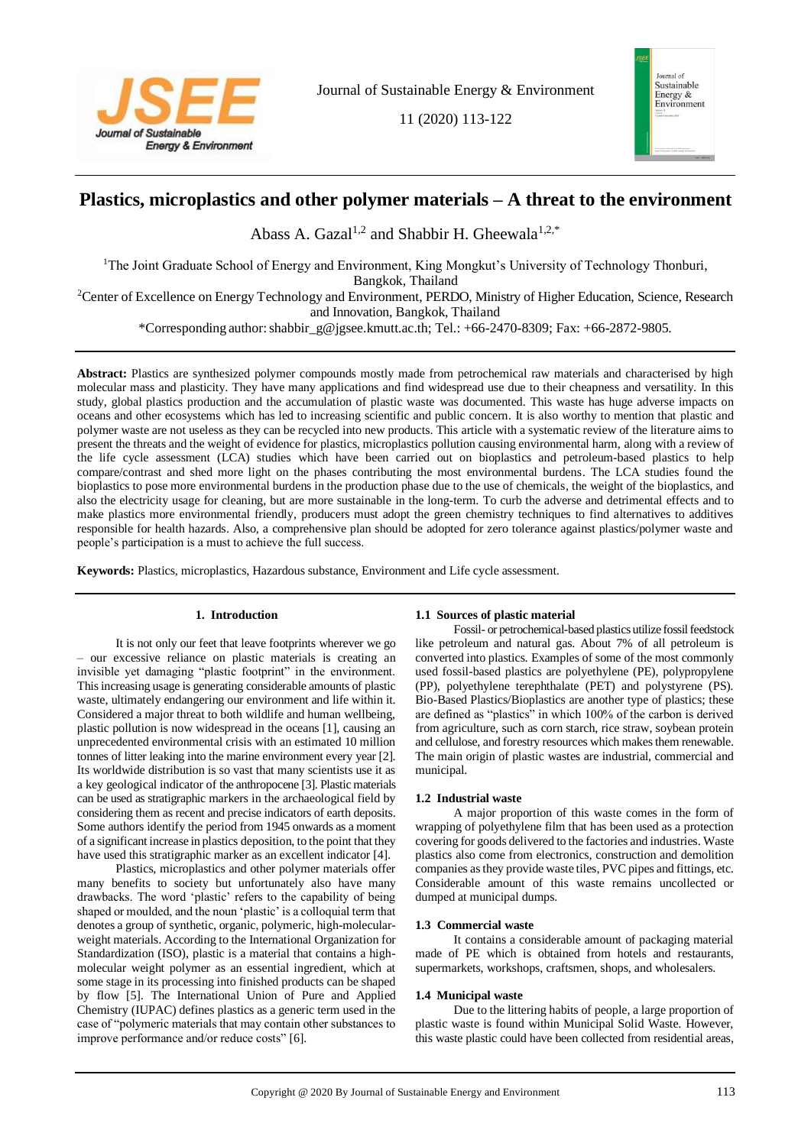

11 (2020) 113-122



# **Plastics, microplastics and other polymer materials – A threat to the environment**

Abass A. Gazal<sup>1,2</sup> and Shabbir H. Gheewala<sup>1,2,\*</sup>

<sup>1</sup>The Joint Graduate School of Energy and Environment, King Mongkut's University of Technology Thonburi,

Bangkok, Thailand

<sup>2</sup>Center of Excellence on Energy Technology and Environment, PERDO, Ministry of Higher Education, Science, Research and Innovation, Bangkok, Thailand

\*Corresponding author: shabbir\_g@jgsee.kmutt.ac.th; Tel.: +66-2470-8309; Fax: +66-2872-9805.

**Abstract:** Plastics are synthesized polymer compounds mostly made from petrochemical raw materials and characterised by high molecular mass and plasticity. They have many applications and find widespread use due to their cheapness and versatility. In this study, global plastics production and the accumulation of plastic waste was documented. This waste has huge adverse impacts on oceans and other ecosystems which has led to increasing scientific and public concern. It is also worthy to mention that plastic and polymer waste are not useless as they can be recycled into new products. This article with a systematic review of the literature aims to present the threats and the weight of evidence for plastics, microplastics pollution causing environmental harm, along with a review of the life cycle assessment (LCA) studies which have been carried out on bioplastics and petroleum-based plastics to help compare/contrast and shed more light on the phases contributing the most environmental burdens. The LCA studies found the bioplastics to pose more environmental burdens in the production phase due to the use of chemicals, the weight of the bioplastics, and also the electricity usage for cleaning, but are more sustainable in the long-term. To curb the adverse and detrimental effects and to make plastics more environmental friendly, producers must adopt the green chemistry techniques to find alternatives to additives responsible for health hazards. Also, a comprehensive plan should be adopted for zero tolerance against plastics/polymer waste and people's participation is a must to achieve the full success.

**Keywords:** Plastics, microplastics, Hazardous substance, Environment and Life cycle assessment.

# **1. Introduction**

It is not only our feet that leave footprints wherever we go – our excessive reliance on plastic materials is creating an invisible yet damaging "plastic footprint" in the environment. This increasing usage is generating considerable amounts of plastic waste, ultimately endangering our environment and life within it. Considered a major threat to both wildlife and human wellbeing, plastic pollution is now widespread in the oceans [1], causing an unprecedented environmental crisis with an estimated 10 million tonnes of litter leaking into the marine environment every year [2]. Its worldwide distribution is so vast that many scientists use it as a key geological indicator of the anthropocene [3]. Plastic materials can be used as stratigraphic markers in the archaeological field by considering them as recent and precise indicators of earth deposits. Some authors identify the period from 1945 onwards as a moment of a significant increase in plastics deposition, to the point that they have used this stratigraphic marker as an excellent indicator [4].

Plastics, microplastics and other polymer materials offer many benefits to society but unfortunately also have many drawbacks. The word 'plastic' refers to the capability of being shaped or moulded, and the noun 'plastic' is a colloquial term that denotes a group of synthetic, organic, polymeric, high-molecularweight materials. According to the International Organization for Standardization (ISO), plastic is a material that contains a highmolecular weight polymer as an essential ingredient, which at some stage in its processing into finished products can be shaped by flow [5]. The International Union of Pure and Applied Chemistry (IUPAC) defines plastics as a generic term used in the case of "polymeric materials that may contain other substances to improve performance and/or reduce costs" [6].

# **1.1 Sources of plastic material**

Fossil- or petrochemical-based plastics utilize fossil feedstock like petroleum and natural gas. About 7% of all petroleum is converted into plastics. Examples of some of the most commonly used fossil-based plastics are polyethylene (PE), polypropylene (PP), polyethylene terephthalate (PET) and polystyrene (PS). Bio-Based Plastics/Bioplastics are another type of plastics; these are defined as "plastics" in which 100% of the carbon is derived from agriculture, such as corn starch, rice straw, soybean protein and cellulose, and forestry resources which makes them renewable. The main origin of plastic wastes are industrial, commercial and municipal.

## **1.2 Industrial waste**

A major proportion of this waste comes in the form of wrapping of polyethylene film that has been used as a protection covering for goods delivered to the factories and industries. Waste plastics also come from electronics, construction and demolition companies as they provide waste tiles, PVC pipes and fittings, etc. Considerable amount of this waste remains uncollected or dumped at municipal dumps.

## **1.3 Commercial waste**

It contains a considerable amount of packaging material made of PE which is obtained from hotels and restaurants, supermarkets, workshops, craftsmen, shops, and wholesalers.

## **1.4 Municipal waste**

Due to the littering habits of people, a large proportion of plastic waste is found within Municipal Solid Waste. However, this waste plastic could have been collected from residential areas,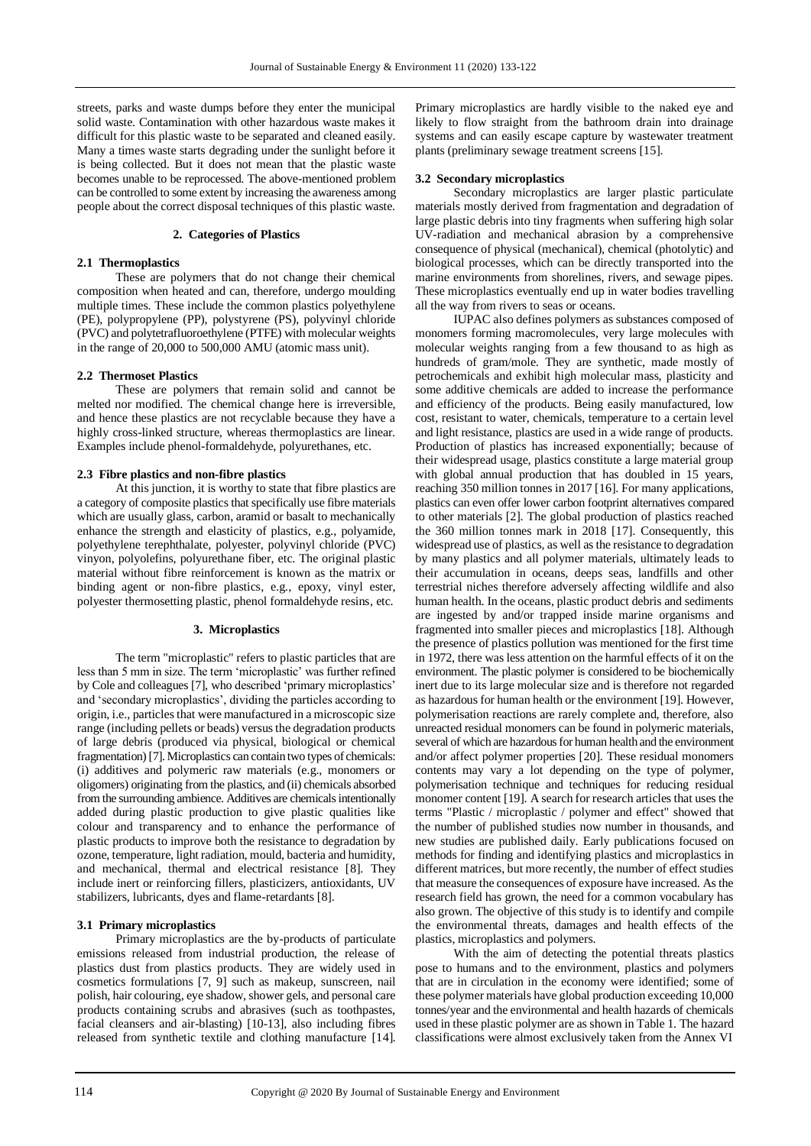streets, parks and waste dumps before they enter the municipal solid waste. Contamination with other hazardous waste makes it difficult for this plastic waste to be separated and cleaned easily. Many a times waste starts degrading under the sunlight before it is being collected. But it does not mean that the plastic waste becomes unable to be reprocessed. The above-mentioned problem can be controlled to some extent by increasing the awareness among people about the correct disposal techniques of this plastic waste.

## **2. Categories of Plastics**

# **2.1 Thermoplastics**

These are polymers that do not change their chemical composition when heated and can, therefore, undergo moulding multiple times. These include the common plastics polyethylene (PE), polypropylene (PP), polystyrene (PS), polyvinyl chloride (PVC) and polytetrafluoroethylene (PTFE) with molecular weights in the range of 20,000 to 500,000 AMU (atomic mass unit).

#### **2.2 Thermoset Plastics**

These are polymers that remain solid and cannot be melted nor modified. The chemical change here is irreversible, and hence these plastics are not recyclable because they have a highly cross-linked structure, whereas thermoplastics are linear. Examples include phenol-formaldehyde, polyurethanes, etc.

## **2.3 Fibre plastics and non-fibre plastics**

At this junction, it is worthy to state that fibre plastics are a category of composite plastics that specifically use fibre materials which are usually glass, carbon, aramid or basalt to mechanically enhance the strength and elasticity of plastics, e.g., polyamide, polyethylene terephthalate, polyester, polyvinyl chloride (PVC) vinyon, polyolefins, polyurethane fiber, etc. The original plastic material without fibre reinforcement is known as the matrix or binding agent or non-fibre plastics, e.g., epoxy, vinyl ester, polyester thermosetting plastic, phenol formaldehyde resins, etc.

#### **3. Microplastics**

The term "microplastic" refers to plastic particles that are less than 5 mm in size. The term 'microplastic' was further refined by Cole and colleagues [7], who described 'primary microplastics' and 'secondary microplastics', dividing the particles according to origin, i.e., particles that were manufactured in a microscopic size range (including pellets or beads) versus the degradation products of large debris (produced via physical, biological or chemical fragmentation) [7]. Microplastics can contain two types of chemicals: (i) additives and polymeric raw materials (e.g., monomers or oligomers) originating from the plastics, and (ii) chemicals absorbed from the surrounding ambience. Additives are chemicals intentionally added during plastic production to give plastic qualities like colour and transparency and to enhance the performance of plastic products to improve both the resistance to degradation by ozone, temperature, light radiation, mould, bacteria and humidity, and mechanical, thermal and electrical resistance [8]. They include inert or reinforcing fillers, plasticizers, antioxidants, UV stabilizers, lubricants, dyes and flame-retardants [8].

## **3.1 Primary microplastics**

Primary microplastics are the by-products of particulate emissions released from industrial production, the release of plastics dust from plastics products. They are widely used in cosmetics formulations [7, 9] such as makeup, sunscreen, nail polish, hair colouring, eye shadow, shower gels, and personal care products containing scrubs and abrasives (such as toothpastes, facial cleansers and air-blasting) [10-13], also including fibres released from synthetic textile and clothing manufacture [14].

Primary microplastics are hardly visible to the naked eye and likely to flow straight from the bathroom drain into drainage systems and can easily escape capture by wastewater treatment plants (preliminary sewage treatment screens [15].

#### **3.2 Secondary microplastics**

Secondary microplastics are larger plastic particulate materials mostly derived from fragmentation and degradation of large plastic debris into tiny fragments when suffering high solar UV-radiation and mechanical abrasion by a comprehensive consequence of physical (mechanical), chemical (photolytic) and biological processes, which can be directly transported into the marine environments from shorelines, rivers, and sewage pipes. These microplastics eventually end up in water bodies travelling all the way from rivers to seas or oceans.

IUPAC also defines polymers as substances composed of monomers forming macromolecules, very large molecules with molecular weights ranging from a few thousand to as high as hundreds of gram/mole. They are synthetic, made mostly of petrochemicals and exhibit high molecular mass, plasticity and some additive chemicals are added to increase the performance and efficiency of the products. Being easily manufactured, low cost, resistant to water, chemicals, temperature to a certain level and light resistance, plastics are used in a wide range of products. Production of plastics has increased exponentially; because of their widespread usage, plastics constitute a large material group with global annual production that has doubled in 15 years, reaching 350 million tonnes in 2017 [16]. For many applications, plastics can even offer lower carbon footprint alternatives compared to other materials [2]. The global production of plastics reached the 360 million tonnes mark in 2018 [17]. Consequently, this widespread use of plastics, as well as the resistance to degradation by many plastics and all polymer materials, ultimately leads to their accumulation in oceans, deeps seas, landfills and other terrestrial niches therefore adversely affecting wildlife and also human health. In the oceans, plastic product debris and sediments are ingested by and/or trapped inside marine organisms and fragmented into smaller pieces and microplastics [18]. Although the presence of plastics pollution was mentioned for the first time in 1972, there was less attention on the harmful effects of it on the environment. The plastic polymer is considered to be biochemically inert due to its large molecular size and is therefore not regarded as hazardous for human health or the environment [19]. However, polymerisation reactions are rarely complete and, therefore, also unreacted residual monomers can be found in polymeric materials, several of which are hazardous for human health and the environment and/or affect polymer properties [20]. These residual monomers contents may vary a lot depending on the type of polymer, polymerisation technique and techniques for reducing residual monomer content [19]. A search for research articles that uses the terms "Plastic / microplastic / polymer and effect" showed that the number of published studies now number in thousands, and new studies are published daily. Early publications focused on methods for finding and identifying plastics and microplastics in different matrices, but more recently, the number of effect studies that measure the consequences of exposure have increased. As the research field has grown, the need for a common vocabulary has also grown. The objective of this study is to identify and compile the environmental threats, damages and health effects of the plastics, microplastics and polymers.

With the aim of detecting the potential threats plastics pose to humans and to the environment, plastics and polymers that are in circulation in the economy were identified; some of these polymer materials have global production exceeding 10,000 tonnes/year and the environmental and health hazards of chemicals used in these plastic polymer are as shown in Table 1. The hazard classifications were almost exclusively taken from the Annex VI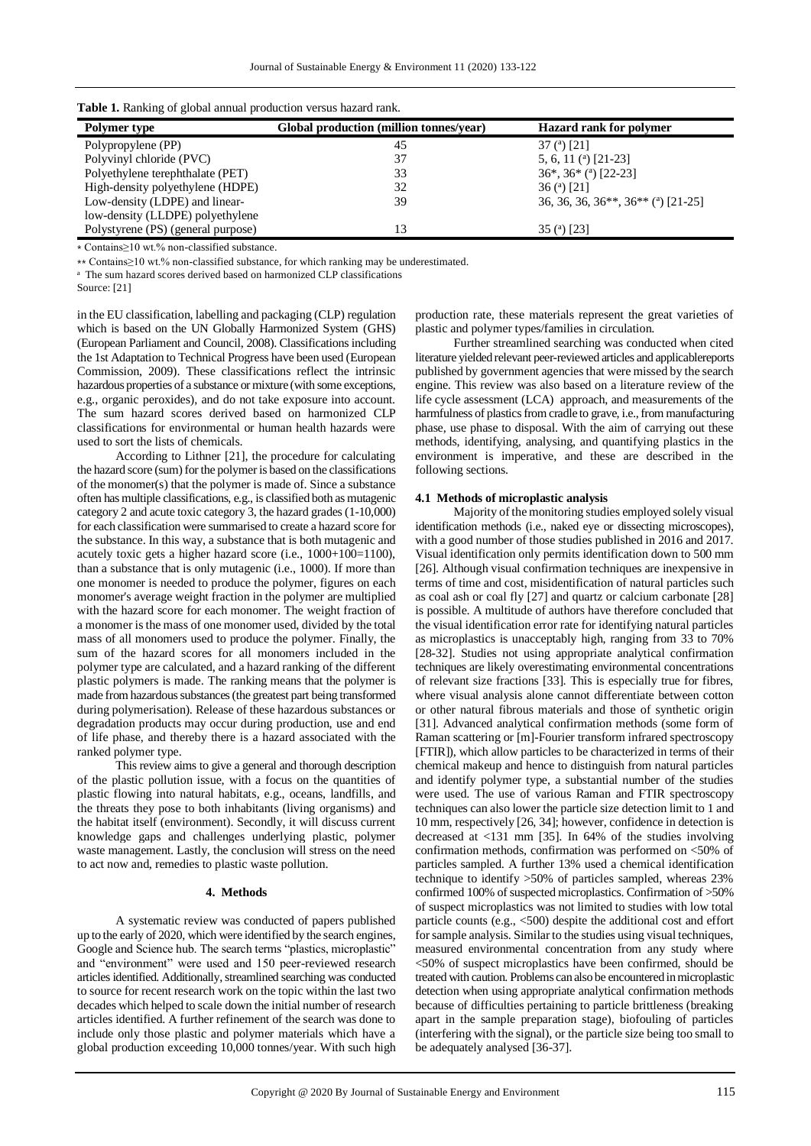| <b>Table 1.</b> Kaliking of grobal annual production versus nazaru failk. |                                         |                                          |  |  |  |  |  |  |
|---------------------------------------------------------------------------|-----------------------------------------|------------------------------------------|--|--|--|--|--|--|
| <b>Polymer type</b>                                                       | Global production (million tonnes/year) | <b>Hazard rank for polymer</b>           |  |  |  |  |  |  |
| Polypropylene (PP)                                                        | 45                                      | 37 ( <sup>a</sup> ) [21]                 |  |  |  |  |  |  |
| Polyvinyl chloride (PVC)                                                  | 37                                      | 5, 6, 11 $(21-23)$                       |  |  |  |  |  |  |
| Polyethylene terephthalate (PET)                                          | 33                                      | $36^*$ , $36^*$ ( <sup>a</sup> ) [22-23] |  |  |  |  |  |  |
| High-density polyethylene (HDPE)                                          | 32                                      | 36 (a) [21]                              |  |  |  |  |  |  |
| Low-density (LDPE) and linear-                                            | 39                                      | 36, 36, 36, 36**, 36** (a) [21-25]       |  |  |  |  |  |  |
| low-density (LLDPE) polyethylene                                          |                                         |                                          |  |  |  |  |  |  |
| Polystyrene (PS) (general purpose)                                        | 13                                      | 35 (a) $[23]$                            |  |  |  |  |  |  |

**Table 1.** Ranking of global annual production versus hazard rank.

⁎ Contains≥10 wt.% non-classified substance.

⁎⁎ Contains≥10 wt.% non-classified substance, for which ranking may be underestimated.

a The sum hazard scores derived based on harmonized CLP classifications

Source: [21]

in the EU classification, labelling and packaging (CLP) regulation which is based on the UN Globally Harmonized System (GHS) (European Parliament and Council, 2008). Classifications including the 1st Adaptation to Technical Progress have been used (European Commission, 2009). These classifications reflect the intrinsic hazardous properties of a substance or mixture (with some exceptions, e.g., organic peroxides), and do not take exposure into account. The sum hazard scores derived based on harmonized CLP classifications for environmental or human health hazards were used to sort the lists of chemicals.

According to Lithner [21], the procedure for calculating the hazard score (sum) for the polymer is based on the classifications of the monomer(s) that the polymer is made of. Since a substance often has multiple classifications, e.g., is classified both as mutagenic category 2 and acute toxic category 3, the hazard grades (1-10,000) for each classification were summarised to create a hazard score for the substance. In this way, a substance that is both mutagenic and acutely toxic gets a higher hazard score (i.e., 1000+100=1100), than a substance that is only mutagenic (i.e., 1000). If more than one monomer is needed to produce the polymer, figures on each monomer's average weight fraction in the polymer are multiplied with the hazard score for each monomer. The weight fraction of a monomer is the mass of one monomer used, divided by the total mass of all monomers used to produce the polymer. Finally, the sum of the hazard scores for all monomers included in the polymer type are calculated, and a hazard ranking of the different plastic polymers is made. The ranking means that the polymer is made from hazardous substances (the greatest part being transformed during polymerisation). Release of these hazardous substances or degradation products may occur during production, use and end of life phase, and thereby there is a hazard associated with the ranked polymer type.

This review aims to give a general and thorough description of the plastic pollution issue, with a focus on the quantities of plastic flowing into natural habitats, e.g., oceans, landfills, and the threats they pose to both inhabitants (living organisms) and the habitat itself (environment). Secondly, it will discuss current knowledge gaps and challenges underlying plastic, polymer waste management. Lastly, the conclusion will stress on the need to act now and, remedies to plastic waste pollution.

#### **4. Methods**

A systematic review was conducted of papers published up to the early of 2020, which were identified by the search engines, Google and Science hub. The search terms "plastics, microplastic" and "environment" were used and 150 peer-reviewed research articles identified. Additionally, streamlined searching was conducted to source for recent research work on the topic within the last two decades which helped to scale down the initial number of research articles identified. A further refinement of the search was done to include only those plastic and polymer materials which have a global production exceeding 10,000 tonnes/year. With such high

production rate, these materials represent the great varieties of plastic and polymer types/families in circulation.

Further streamlined searching was conducted when cited literature yielded relevant peer-reviewed articles and applicablereports published by government agencies that were missed by the search engine. This review was also based on a literature review of the life cycle assessment (LCA) approach, and measurements of the harmfulness of plastics from cradle to grave, i.e., from manufacturing phase, use phase to disposal. With the aim of carrying out these methods, identifying, analysing, and quantifying plastics in the environment is imperative, and these are described in the following sections.

## **4.1 Methods of microplastic analysis**

Majority of the monitoring studies employed solely visual identification methods (i.e., naked eye or dissecting microscopes), with a good number of those studies published in 2016 and 2017. Visual identification only permits identification down to 500 mm [26]. Although visual confirmation techniques are inexpensive in terms of time and cost, misidentification of natural particles such as coal ash or coal fly [27] and quartz or calcium carbonate [28] is possible. A multitude of authors have therefore concluded that the visual identification error rate for identifying natural particles as microplastics is unacceptably high, ranging from 33 to 70% [28-32]. Studies not using appropriate analytical confirmation techniques are likely overestimating environmental concentrations of relevant size fractions [33]. This is especially true for fibres, where visual analysis alone cannot differentiate between cotton or other natural fibrous materials and those of synthetic origin [31]. Advanced analytical confirmation methods (some form of Raman scattering or [m]-Fourier transform infrared spectroscopy [FTIR]), which allow particles to be characterized in terms of their chemical makeup and hence to distinguish from natural particles and identify polymer type, a substantial number of the studies were used. The use of various Raman and FTIR spectroscopy techniques can also lower the particle size detection limit to 1 and 10 mm, respectively [26, 34]; however, confidence in detection is decreased at <131 mm [35]. In 64% of the studies involving confirmation methods, confirmation was performed on <50% of particles sampled. A further 13% used a chemical identification technique to identify >50% of particles sampled, whereas 23% confirmed 100% of suspected microplastics. Confirmation of >50% of suspect microplastics was not limited to studies with low total particle counts (e.g., <500) despite the additional cost and effort for sample analysis. Similar to the studies using visual techniques, measured environmental concentration from any study where <50% of suspect microplastics have been confirmed, should be treated with caution. Problems can also be encountered in microplastic detection when using appropriate analytical confirmation methods because of difficulties pertaining to particle brittleness (breaking apart in the sample preparation stage), biofouling of particles (interfering with the signal), or the particle size being too small to be adequately analysed [36-37].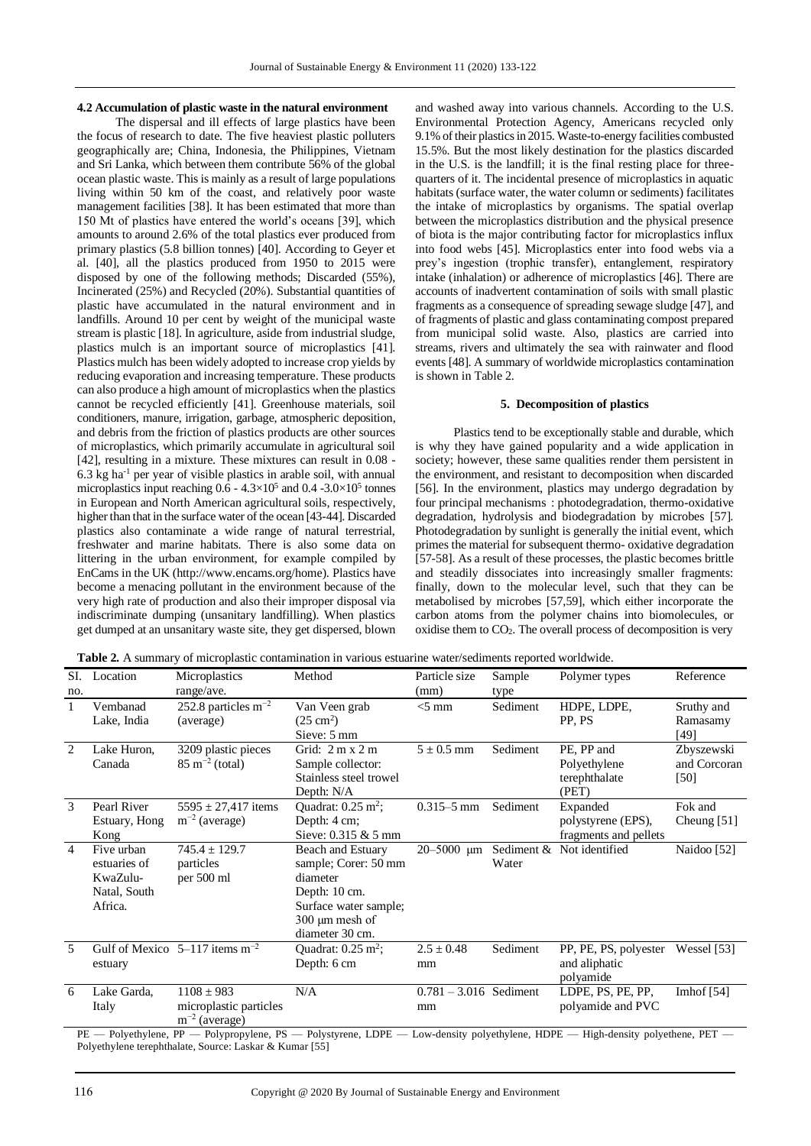#### **4.2 Accumulation of plastic waste in the natural environment**

The dispersal and ill effects of large plastics have been the focus of research to date. The five heaviest plastic polluters geographically are; China, Indonesia, the Philippines, Vietnam and Sri Lanka, which between them contribute 56% of the global ocean plastic waste. This is mainly as a result of large populations living within 50 km of the coast, and relatively poor waste management facilities [38]. It has been estimated that more than 150 Mt of plastics have entered the world's oceans [39], which amounts to around 2.6% of the total plastics ever produced from primary plastics (5.8 billion tonnes) [40]. According to Geyer et al. [40], all the plastics produced from 1950 to 2015 were disposed by one of the following methods; Discarded (55%), Incinerated (25%) and Recycled (20%). Substantial quantities of plastic have accumulated in the natural environment and in landfills. Around 10 per cent by weight of the municipal waste stream is plastic [18]. In agriculture, aside from industrial sludge, plastics mulch is an important source of microplastics [41]. Plastics mulch has been widely adopted to increase crop yields by reducing evaporation and increasing temperature. These products can also produce a high amount of microplastics when the plastics cannot be recycled efficiently [41]. Greenhouse materials, soil conditioners, manure, irrigation, garbage, atmospheric deposition, and debris from the friction of plastics products are other sources of microplastics, which primarily accumulate in agricultural soil [42], resulting in a mixture. These mixtures can result in 0.08 -  $6.3 \text{ kg}$  ha<sup>-1</sup> per year of visible plastics in arable soil, with annual microplastics input reaching  $0.6 - 4.3 \times 10^5$  and  $0.4 - 3.0 \times 10^5$  tonnes in European and North American agricultural soils, respectively, higher than that in the surface water of the ocean [43-44]. Discarded plastics also contaminate a wide range of natural terrestrial, freshwater and marine habitats. There is also some data on littering in the urban environment, for example compiled by EnCams in the UK (http://www.encams.org/home). Plastics have become a menacing pollutant in the environment because of the very high rate of production and also their improper disposal via indiscriminate dumping (unsanitary landfilling). When plastics get dumped at an unsanitary waste site, they get dispersed, blown

and washed away into various channels. According to the U.S. Environmental Protection Agency, Americans recycled only 9.1% of their plastics in 2015. Waste-to-energy facilities combusted 15.5%. But the most likely destination for the plastics discarded in the U.S. is the landfill; it is the final resting place for threequarters of it. The incidental presence of microplastics in aquatic habitats (surface water, the water column or sediments) facilitates the intake of microplastics by organisms. The spatial overlap between the microplastics distribution and the physical presence of biota is the major contributing factor for microplastics influx into food webs [45]. Microplastics enter into food webs via a prey's ingestion (trophic transfer), entanglement, respiratory intake (inhalation) or adherence of microplastics [46]. There are accounts of inadvertent contamination of soils with small plastic fragments as a consequence of spreading sewage sludge [47], and of fragments of plastic and glass contaminating compost prepared from municipal solid waste. Also, plastics are carried into streams, rivers and ultimately the sea with rainwater and flood events [48]. A summary of worldwide microplastics contamination is shown in Table 2.

#### **5. Decomposition of plastics**

Plastics tend to be exceptionally stable and durable, which is why they have gained popularity and a wide application in society; however, these same qualities render them persistent in the environment, and resistant to decomposition when discarded [56]. In the environment, plastics may undergo degradation by four principal mechanisms : photodegradation, thermo-oxidative degradation, hydrolysis and biodegradation by microbes [57]. Photodegradation by sunlight is generally the initial event, which primes the material for subsequent thermo- oxidative degradation [57-58]. As a result of these processes, the plastic becomes brittle and steadily dissociates into increasingly smaller fragments: finally, down to the molecular level, such that they can be metabolised by microbes [57,59], which either incorporate the carbon atoms from the polymer chains into biomolecules, or oxidise them to CO2. The overall process of decomposition is very

**Table 2.** A summary of microplastic contamination in various estuarine water/sediments reported worldwide.

| SI.<br>no.     | Location                                                          | Microplastics<br>range/ave.                                    | Method                                                                                                                                    | Particle size<br>(mm)          | Sample<br>type      | Polymer types                                           | Reference                            |
|----------------|-------------------------------------------------------------------|----------------------------------------------------------------|-------------------------------------------------------------------------------------------------------------------------------------------|--------------------------------|---------------------|---------------------------------------------------------|--------------------------------------|
| $\mathbf{1}$   | Vembanad<br>Lake, India                                           | 252.8 particles $m^{-2}$<br>(average)                          | Van Veen grab<br>$(25 \text{ cm}^2)$<br>Sieve: 5 mm                                                                                       | $<$ 5 mm                       | Sediment            | HDPE, LDPE,<br>PP, PS                                   | Sruthy and<br>Ramasamy<br>[49]       |
| $\mathcal{L}$  | Lake Huron,<br>Canada                                             | 3209 plastic pieces<br>$85 \text{ m}^{-2}$ (total)             | Grid: $2 m x 2 m$<br>Sample collector:<br>Stainless steel trowel<br>Depth: N/A                                                            | $5 \pm 0.5$ mm                 | Sediment            | PE, PP and<br>Polyethylene<br>terephthalate<br>(PET)    | Zbyszewski<br>and Corcoran<br>$[50]$ |
| 3              | Pearl River<br>Estuary, Hong<br>Kong                              | $5595 \pm 27,417$ items<br>$m^{-2}$ (average)                  | Quadrat: $0.25 \text{ m}^2$ ;<br>Depth: 4 cm;<br>Sieve: $0.315 \& 5 \text{ mm}$                                                           | $0.315 - 5$ mm                 | Sediment            | Expanded<br>polystyrene (EPS),<br>fragments and pellets | Fok and<br>Cheung $[51]$             |
| $\overline{4}$ | Five urban<br>estuaries of<br>KwaZulu-<br>Natal, South<br>Africa. | $745.4 \pm 129.7$<br>particles<br>per 500 ml                   | Beach and Estuary<br>sample; Corer: 50 mm<br>diameter<br>Depth: 10 cm.<br>Surface water sample;<br>$300 \mu m$ mesh of<br>diameter 30 cm. | 20-5000 µm                     | Sediment &<br>Water | Not identified                                          | Naidoo [52]                          |
| 5              | estuary                                                           | Gulf of Mexico $5-117$ items m <sup>-2</sup>                   | Quadrat: $0.25 \text{ m}^2$ ;<br>Depth: 6 cm                                                                                              | $2.5 \pm 0.48$<br>mm           | Sediment            | PP, PE, PS, polyester<br>and aliphatic<br>polyamide     | Wessel [53]                          |
| 6              | Lake Garda,<br>Italy                                              | $1108 \pm 983$<br>microplastic particles<br>$m^{-2}$ (average) | N/A                                                                                                                                       | $0.781 - 3.016$ Sediment<br>mm |                     | LDPE, PS, PE, PP,<br>polyamide and PVC                  | Imhof $[54]$                         |

PE — Polyethylene, PP — Polypropylene, PS — Polystyrene, LDPE — Low-density polyethylene, HDPE — High-density polyethene, PET — Polyethylene terephthalate, Source: Laskar & Kumar [55]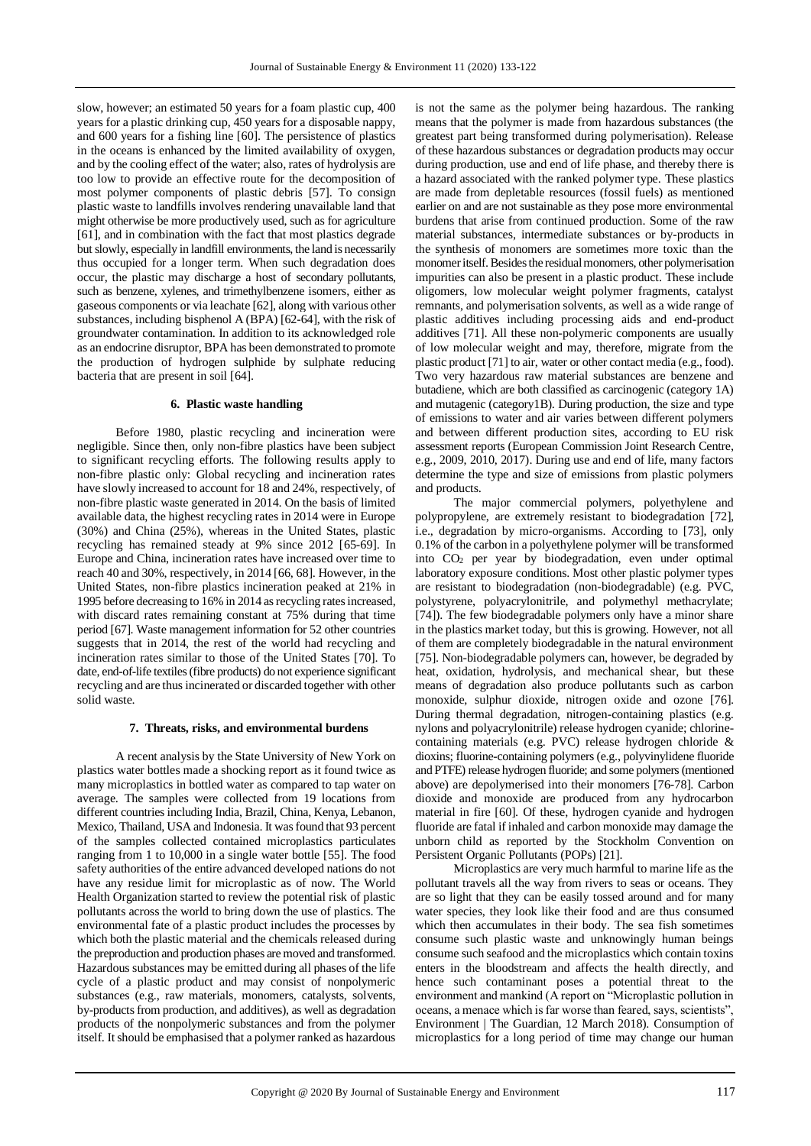slow, however; an estimated 50 years for a foam plastic cup, 400 years for a plastic drinking cup, 450 years for a disposable nappy, and 600 years for a fishing line [60]. The persistence of plastics in the oceans is enhanced by the limited availability of oxygen, and by the cooling effect of the water; also, rates of hydrolysis are too low to provide an effective route for the decomposition of most polymer components of plastic debris [57]. To consign plastic waste to landfills involves rendering unavailable land that might otherwise be more productively used, such as for agriculture [61], and in combination with the fact that most plastics degrade but slowly, especially in landfill environments, the land is necessarily thus occupied for a longer term. When such degradation does occur, the plastic may discharge a host of secondary pollutants, such as benzene, xylenes, and trimethylbenzene isomers, either as gaseous components or via leachate [62], along with various other substances, including bisphenol A (BPA) [62-64], with the risk of groundwater contamination. In addition to its acknowledged role as an endocrine disruptor, BPA has been demonstrated to promote the production of hydrogen sulphide by sulphate reducing bacteria that are present in soil [64].

#### **6. Plastic waste handling**

Before 1980, plastic recycling and incineration were negligible. Since then, only non-fibre plastics have been subject to significant recycling efforts. The following results apply to non-fibre plastic only: Global recycling and incineration rates have slowly increased to account for 18 and 24%, respectively, of non-fibre plastic waste generated in 2014. On the basis of limited available data, the highest recycling rates in 2014 were in Europe (30%) and China (25%), whereas in the United States, plastic recycling has remained steady at 9% since 2012 [65-69]. In Europe and China, incineration rates have increased over time to reach 40 and 30%, respectively, in 2014 [66, 68]. However, in the United States, non-fibre plastics incineration peaked at 21% in 1995 before decreasing to 16% in 2014 as recycling rates increased, with discard rates remaining constant at 75% during that time period [67]. Waste management information for 52 other countries suggests that in 2014, the rest of the world had recycling and incineration rates similar to those of the United States [70]. To date, end-of-life textiles (fibre products) do not experience significant recycling and are thus incinerated or discarded together with other solid waste.

#### **7. Threats, risks, and environmental burdens**

A recent analysis by the State University of New York on plastics water bottles made a shocking report as it found twice as many microplastics in bottled water as compared to tap water on average. The samples were collected from 19 locations from different countries including India, Brazil, China, Kenya, Lebanon, Mexico, Thailand, USA and Indonesia. It was found that 93 percent of the samples collected contained microplastics particulates ranging from 1 to 10,000 in a single water bottle [55]. The food safety authorities of the entire advanced developed nations do not have any residue limit for microplastic as of now. The World Health Organization started to review the potential risk of plastic pollutants across the world to bring down the use of plastics. The environmental fate of a plastic product includes the processes by which both the plastic material and the chemicals released during the preproduction and production phases are moved and transformed. Hazardous substances may be emitted during all phases of the life cycle of a plastic product and may consist of nonpolymeric substances (e.g., raw materials, monomers, catalysts, solvents, by-products from production, and additives), as well as degradation products of the nonpolymeric substances and from the polymer itself. It should be emphasised that a polymer ranked as hazardous

is not the same as the polymer being hazardous. The ranking means that the polymer is made from hazardous substances (the greatest part being transformed during polymerisation). Release of these hazardous substances or degradation products may occur during production, use and end of life phase, and thereby there is a hazard associated with the ranked polymer type. These plastics are made from depletable resources (fossil fuels) as mentioned earlier on and are not sustainable as they pose more environmental burdens that arise from continued production. Some of the raw material substances, intermediate substances or by-products in the synthesis of monomers are sometimes more toxic than the monomer itself. Besides the residual monomers, other polymerisation impurities can also be present in a plastic product. These include oligomers, low molecular weight polymer fragments, catalyst remnants, and polymerisation solvents, as well as a wide range of plastic additives including processing aids and end-product additives [71]. All these non-polymeric components are usually of low molecular weight and may, therefore, migrate from the plastic product [71] to air, water or other contact media (e.g., food). Two very hazardous raw material substances are benzene and butadiene, which are both classified as carcinogenic (category 1A) and mutagenic (category1B). During production, the size and type of emissions to water and air varies between different polymers and between different production sites, according to EU risk assessment reports (European Commission Joint Research Centre, e.g., 2009, 2010, 2017). During use and end of life, many factors determine the type and size of emissions from plastic polymers and products.

The major commercial polymers, polyethylene and polypropylene, are extremely resistant to biodegradation [72], i.e., degradation by micro-organisms. According to [73], only 0.1% of the carbon in a polyethylene polymer will be transformed into CO<sup>2</sup> per year by biodegradation, even under optimal laboratory exposure conditions. Most other plastic polymer types are resistant to biodegradation (non-biodegradable) (e.g. PVC, polystyrene, polyacrylonitrile, and polymethyl methacrylate; [74]). The few biodegradable polymers only have a minor share in the plastics market today, but this is growing. However, not all of them are completely biodegradable in the natural environment [75]. Non-biodegradable polymers can, however, be degraded by heat, oxidation, hydrolysis, and mechanical shear, but these means of degradation also produce pollutants such as carbon monoxide, sulphur dioxide, nitrogen oxide and ozone [76]. During thermal degradation, nitrogen-containing plastics (e.g. nylons and polyacrylonitrile) release hydrogen cyanide; chlorinecontaining materials (e.g. PVC) release hydrogen chloride & dioxins; fluorine-containing polymers (e.g., polyvinylidene fluoride and PTFE) release hydrogen fluoride; and some polymers (mentioned above) are depolymerised into their monomers [76-78]. Carbon dioxide and monoxide are produced from any hydrocarbon material in fire [60]. Of these, hydrogen cyanide and hydrogen fluoride are fatal if inhaled and carbon monoxide may damage the unborn child as reported by the Stockholm Convention on Persistent Organic Pollutants (POPs) [21].

Microplastics are very much harmful to marine life as the pollutant travels all the way from rivers to seas or oceans. They are so light that they can be easily tossed around and for many water species, they look like their food and are thus consumed which then accumulates in their body. The sea fish sometimes consume such plastic waste and unknowingly human beings consume such seafood and the microplastics which contain toxins enters in the bloodstream and affects the health directly, and hence such contaminant poses a potential threat to the environment and mankind (A report on "Microplastic pollution in oceans, a menace which is far worse than feared, says, scientists", Environment | The Guardian, 12 March 2018). Consumption of microplastics for a long period of time may change our human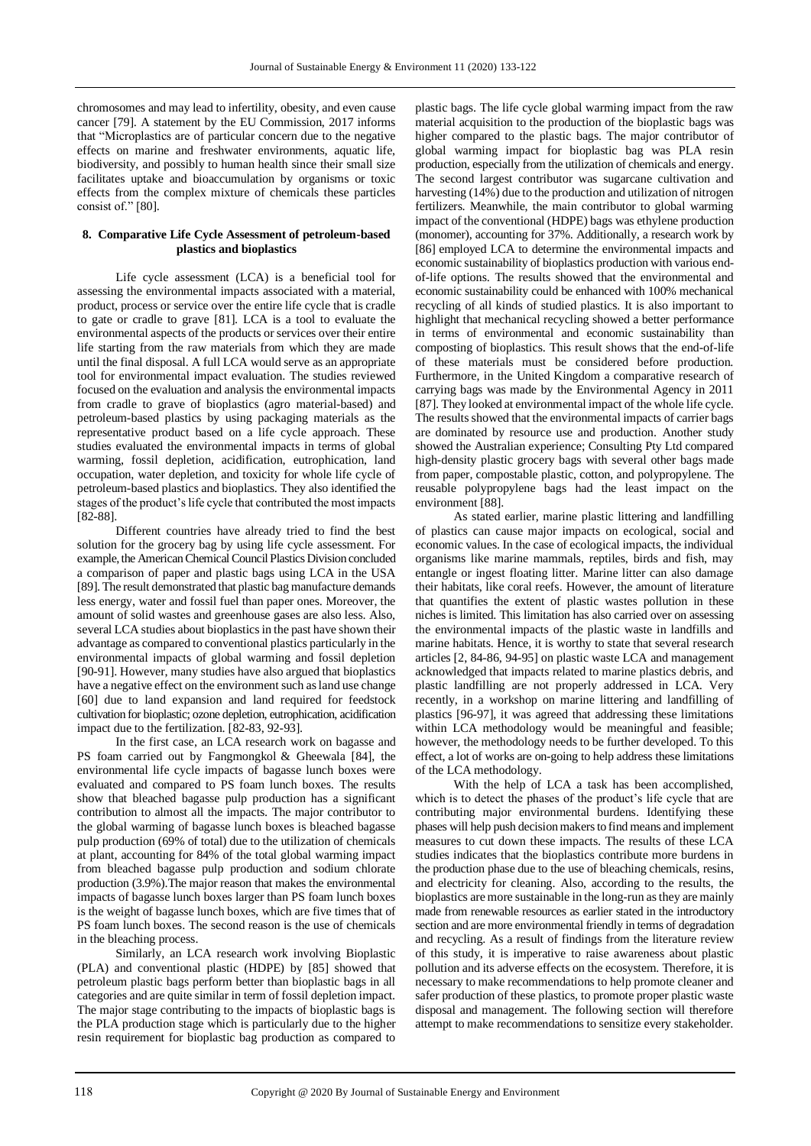chromosomes and may lead to infertility, obesity, and even cause cancer [79]. A statement by the EU Commission, 2017 informs that "Microplastics are of particular concern due to the negative effects on marine and freshwater environments, aquatic life, biodiversity, and possibly to human health since their small size facilitates uptake and bioaccumulation by organisms or toxic effects from the complex mixture of chemicals these particles consist of." [80].

# **8. Comparative Life Cycle Assessment of petroleum-based plastics and bioplastics**

Life cycle assessment (LCA) is a beneficial tool for assessing the environmental impacts associated with a material, product, process or service over the entire life cycle that is cradle to gate or cradle to grave [81]. LCA is a tool to evaluate the environmental aspects of the products or services over their entire life starting from the raw materials from which they are made until the final disposal. A full LCA would serve as an appropriate tool for environmental impact evaluation. The studies reviewed focused on the evaluation and analysis the environmental impacts from cradle to grave of bioplastics (agro material-based) and petroleum-based plastics by using packaging materials as the representative product based on a life cycle approach. These studies evaluated the environmental impacts in terms of global warming, fossil depletion, acidification, eutrophication, land occupation, water depletion, and toxicity for whole life cycle of petroleum-based plastics and bioplastics. They also identified the stages of the product's life cycle that contributed the most impacts [82-88].

Different countries have already tried to find the best solution for the grocery bag by using life cycle assessment. For example, the American Chemical Council Plastics Division concluded a comparison of paper and plastic bags using LCA in the USA [89]. The result demonstrated that plastic bag manufacture demands less energy, water and fossil fuel than paper ones. Moreover, the amount of solid wastes and greenhouse gases are also less. Also, several LCA studies about bioplastics in the past have shown their advantage as compared to conventional plastics particularly in the environmental impacts of global warming and fossil depletion [90-91]. However, many studies have also argued that bioplastics have a negative effect on the environment such as land use change [60] due to land expansion and land required for feedstock cultivation for bioplastic; ozone depletion, eutrophication, acidification impact due to the fertilization. [82-83, 92-93].

In the first case, an LCA research work on bagasse and PS foam carried out by Fangmongkol & Gheewala [84], the environmental life cycle impacts of bagasse lunch boxes were evaluated and compared to PS foam lunch boxes. The results show that bleached bagasse pulp production has a significant contribution to almost all the impacts. The major contributor to the global warming of bagasse lunch boxes is bleached bagasse pulp production (69% of total) due to the utilization of chemicals at plant, accounting for 84% of the total global warming impact from bleached bagasse pulp production and sodium chlorate production (3.9%).The major reason that makes the environmental impacts of bagasse lunch boxes larger than PS foam lunch boxes is the weight of bagasse lunch boxes, which are five times that of PS foam lunch boxes. The second reason is the use of chemicals in the bleaching process.

Similarly, an LCA research work involving Bioplastic (PLA) and conventional plastic (HDPE) by [85] showed that petroleum plastic bags perform better than bioplastic bags in all categories and are quite similar in term of fossil depletion impact. The major stage contributing to the impacts of bioplastic bags is the PLA production stage which is particularly due to the higher resin requirement for bioplastic bag production as compared to

plastic bags. The life cycle global warming impact from the raw material acquisition to the production of the bioplastic bags was higher compared to the plastic bags. The major contributor of global warming impact for bioplastic bag was PLA resin production, especially from the utilization of chemicals and energy. The second largest contributor was sugarcane cultivation and harvesting (14%) due to the production and utilization of nitrogen fertilizers. Meanwhile, the main contributor to global warming impact of the conventional (HDPE) bags was ethylene production (monomer), accounting for 37%. Additionally, a research work by [86] employed LCA to determine the environmental impacts and economic sustainability of bioplastics production with various endof-life options. The results showed that the environmental and economic sustainability could be enhanced with 100% mechanical recycling of all kinds of studied plastics. It is also important to highlight that mechanical recycling showed a better performance in terms of environmental and economic sustainability than composting of bioplastics. This result shows that the end-of-life of these materials must be considered before production. Furthermore, in the United Kingdom a comparative research of carrying bags was made by the Environmental Agency in 2011 [87]. They looked at environmental impact of the whole life cycle. The results showed that the environmental impacts of carrier bags are dominated by resource use and production. Another study showed the Australian experience; Consulting Pty Ltd compared high-density plastic grocery bags with several other bags made from paper, compostable plastic, cotton, and polypropylene. The reusable polypropylene bags had the least impact on the environment [88].

As stated earlier, marine plastic littering and landfilling of plastics can cause major impacts on ecological, social and economic values. In the case of ecological impacts, the individual organisms like marine mammals, reptiles, birds and fish, may entangle or ingest floating litter. Marine litter can also damage their habitats, like coral reefs. However, the amount of literature that quantifies the extent of plastic wastes pollution in these niches is limited. This limitation has also carried over on assessing the environmental impacts of the plastic waste in landfills and marine habitats. Hence, it is worthy to state that several research articles [2, 84-86, 94-95] on plastic waste LCA and management acknowledged that impacts related to marine plastics debris, and plastic landfilling are not properly addressed in LCA. Very recently, in a workshop on marine littering and landfilling of plastics [96-97], it was agreed that addressing these limitations within LCA methodology would be meaningful and feasible; however, the methodology needs to be further developed. To this effect, a lot of works are on-going to help address these limitations of the LCA methodology.

With the help of LCA a task has been accomplished, which is to detect the phases of the product's life cycle that are contributing major environmental burdens. Identifying these phases will help push decision makers to find means and implement measures to cut down these impacts. The results of these LCA studies indicates that the bioplastics contribute more burdens in the production phase due to the use of bleaching chemicals, resins, and electricity for cleaning. Also, according to the results, the bioplastics are more sustainable in the long-run as they are mainly made from renewable resources as earlier stated in the introductory section and are more environmental friendly in terms of degradation and recycling. As a result of findings from the literature review of this study, it is imperative to raise awareness about plastic pollution and its adverse effects on the ecosystem. Therefore, it is necessary to make recommendations to help promote cleaner and safer production of these plastics, to promote proper plastic waste disposal and management. The following section will therefore attempt to make recommendations to sensitize every stakeholder.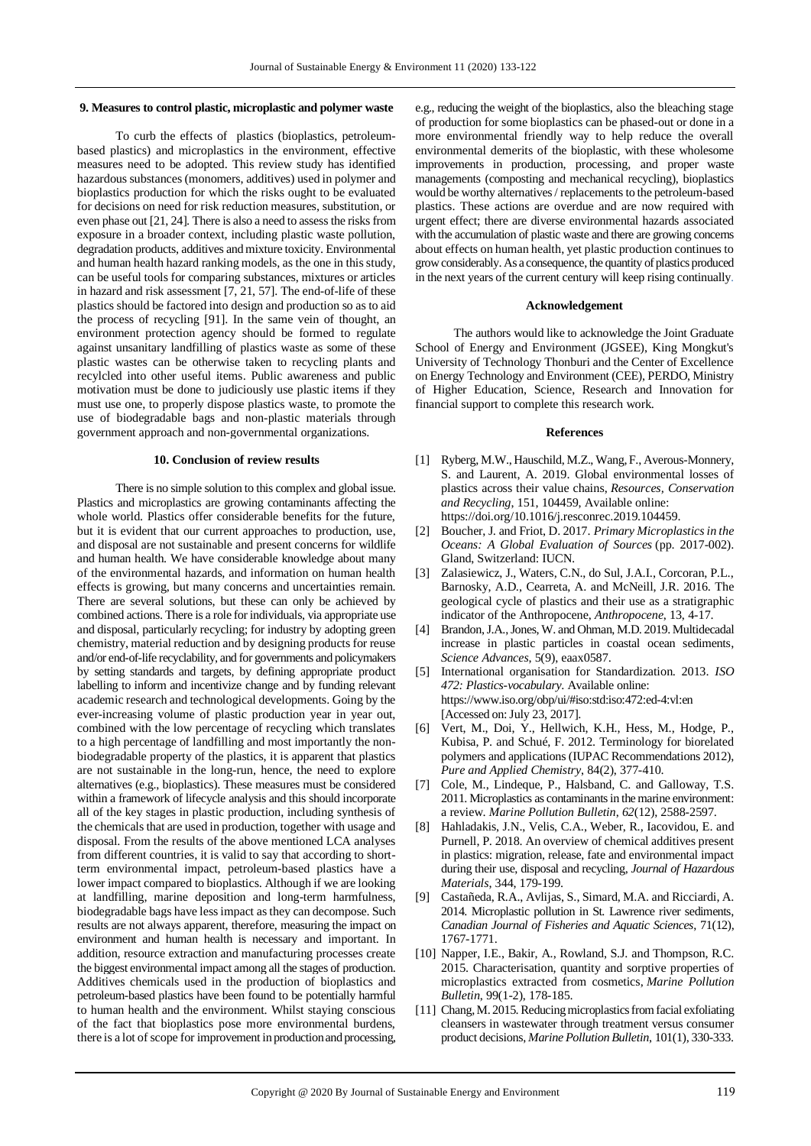#### **9. Measures to control plastic, microplastic and polymer waste**

To curb the effects of plastics (bioplastics, petroleumbased plastics) and microplastics in the environment, effective measures need to be adopted. This review study has identified hazardous substances (monomers, additives) used in polymer and bioplastics production for which the risks ought to be evaluated for decisions on need for risk reduction measures, substitution, or even phase out [21, 24]. There is also a need to assess the risks from exposure in a broader context, including plastic waste pollution, degradation products, additives and mixture toxicity. Environmental and human health hazard ranking models, as the one in this study, can be useful tools for comparing substances, mixtures or articles in hazard and risk assessment [7, 21, 57]. The end-of-life of these plastics should be factored into design and production so as to aid the process of recycling [91]. In the same vein of thought, an environment protection agency should be formed to regulate against unsanitary landfilling of plastics waste as some of these plastic wastes can be otherwise taken to recycling plants and recylcled into other useful items. Public awareness and public motivation must be done to judiciously use plastic items if they must use one, to properly dispose plastics waste, to promote the use of biodegradable bags and non-plastic materials through government approach and non-governmental organizations.

#### **10. Conclusion of review results**

There is no simple solution to this complex and global issue. Plastics and microplastics are growing contaminants affecting the whole world. Plastics offer considerable benefits for the future, but it is evident that our current approaches to production, use, and disposal are not sustainable and present concerns for wildlife and human health. We have considerable knowledge about many of the environmental hazards, and information on human health effects is growing, but many concerns and uncertainties remain. There are several solutions, but these can only be achieved by combined actions. There is a role for individuals, via appropriate use and disposal, particularly recycling; for industry by adopting green chemistry, material reduction and by designing products for reuse and/or end-of-life recyclability, and for governments and policymakers by setting standards and targets, by defining appropriate product labelling to inform and incentivize change and by funding relevant academic research and technological developments. Going by the ever-increasing volume of plastic production year in year out, combined with the low percentage of recycling which translates to a high percentage of landfilling and most importantly the nonbiodegradable property of the plastics, it is apparent that plastics are not sustainable in the long-run, hence, the need to explore alternatives (e.g., bioplastics). These measures must be considered within a framework of lifecycle analysis and this should incorporate all of the key stages in plastic production, including synthesis of the chemicals that are used in production, together with usage and disposal. From the results of the above mentioned LCA analyses from different countries, it is valid to say that according to shortterm environmental impact, petroleum-based plastics have a lower impact compared to bioplastics. Although if we are looking at landfilling, marine deposition and long-term harmfulness, biodegradable bags have less impact as they can decompose. Such results are not always apparent, therefore, measuring the impact on environment and human health is necessary and important. In addition, resource extraction and manufacturing processes create the biggest environmental impact among all the stages of production. Additives chemicals used in the production of bioplastics and petroleum-based plastics have been found to be potentially harmful to human health and the environment. Whilst staying conscious of the fact that bioplastics pose more environmental burdens, there is a lot of scope for improvement in production and processing,

e.g., reducing the weight of the bioplastics, also the bleaching stage of production for some bioplastics can be phased-out or done in a more environmental friendly way to help reduce the overall environmental demerits of the bioplastic, with these wholesome improvements in production, processing, and proper waste managements (composting and mechanical recycling), bioplastics would be worthy alternatives / replacements to the petroleum-based plastics. These actions are overdue and are now required with urgent effect; there are diverse environmental hazards associated with the accumulation of plastic waste and there are growing concerns about effects on human health, yet plastic production continues to growconsiderably. As a consequence, the quantity of plastics produced in the next years of the current century will keep rising continually.

## **Acknowledgement**

The authors would like to acknowledge the Joint Graduate School of Energy and Environment (JGSEE), King Mongkut's University of Technology Thonburi and the Center of Excellence on Energy Technology and Environment (CEE), PERDO, Ministry of Higher Education, Science, Research and Innovation for financial support to complete this research work.

#### **References**

- [1] Ryberg, M.W., Hauschild, M.Z., Wang, F., Averous-Monnery, S. and Laurent, A. 2019. Global environmental losses of plastics across their value chains, *Resources, Conservation and Recycling*, 151, 104459, Available online: https://doi.org/10.1016/j.resconrec.2019.104459.
- [2] Boucher, J. and Friot, D. 2017. *Primary Microplastics in the Oceans: A Global Evaluation of Sources* (pp. 2017-002). Gland, Switzerland: IUCN*.*
- [3] Zalasiewicz, J., Waters, C.N., do Sul, J.A.I., Corcoran, P.L., Barnosky, A.D., Cearreta, A. and McNeill, J.R. 2016. The geological cycle of plastics and their use as a stratigraphic indicator of the Anthropocene, *Anthropocene*, 13, 4-17.
- [4] Brandon, J.A., Jones, W. and Ohman, M.D. 2019. Multidecadal increase in plastic particles in coastal ocean sediments, *Science Advances*, 5(9), eaax0587.
- [5] International organisation for Standardization. 2013. *ISO 472: Plastics-vocabulary*. Available online: https://www.iso.org/obp/ui/#iso:std:iso:472:ed-4:vl:en [Accessed on: July 23, 2017].
- Vert, M., Doi, Y., Hellwich, K.H., Hess, M., Hodge, P., Kubisa, P. and Schué, F. 2012. Terminology for biorelated polymers and applications (IUPAC Recommendations 2012), *Pure and Applied Chemistry*, 84(2), 377-410.
- [7] Cole, M., Lindeque, P., Halsband, C. and Galloway, T.S. 2011. Microplastics as contaminants in the marine environment: a review. *Marine Pollution Bulletin*, *62*(12), 2588-2597.
- [8] Hahladakis, J.N., Velis, C.A., Weber, R., Iacovidou, E. and Purnell, P. 2018. An overview of chemical additives present in plastics: migration, release, fate and environmental impact during their use, disposal and recycling, *Journal of Hazardous Materials*, 344, 179-199.
- [9] Castañeda, R.A., Avlijas, S., Simard, M.A. and Ricciardi, A. 2014. Microplastic pollution in St. Lawrence river sediments, *Canadian Journal of Fisheries and Aquatic Sciences*, 71(12), 1767-1771.
- [10] Napper, I.E., Bakir, A., Rowland, S.J. and Thompson, R.C. 2015. Characterisation, quantity and sorptive properties of microplastics extracted from cosmetics, *Marine Pollution Bulletin*, 99(1-2), 178-185.
- [11] Chang, M. 2015. Reducing microplastics from facial exfoliating cleansers in wastewater through treatment versus consumer product decisions, *Marine Pollution Bulletin*, 101(1), 330-333.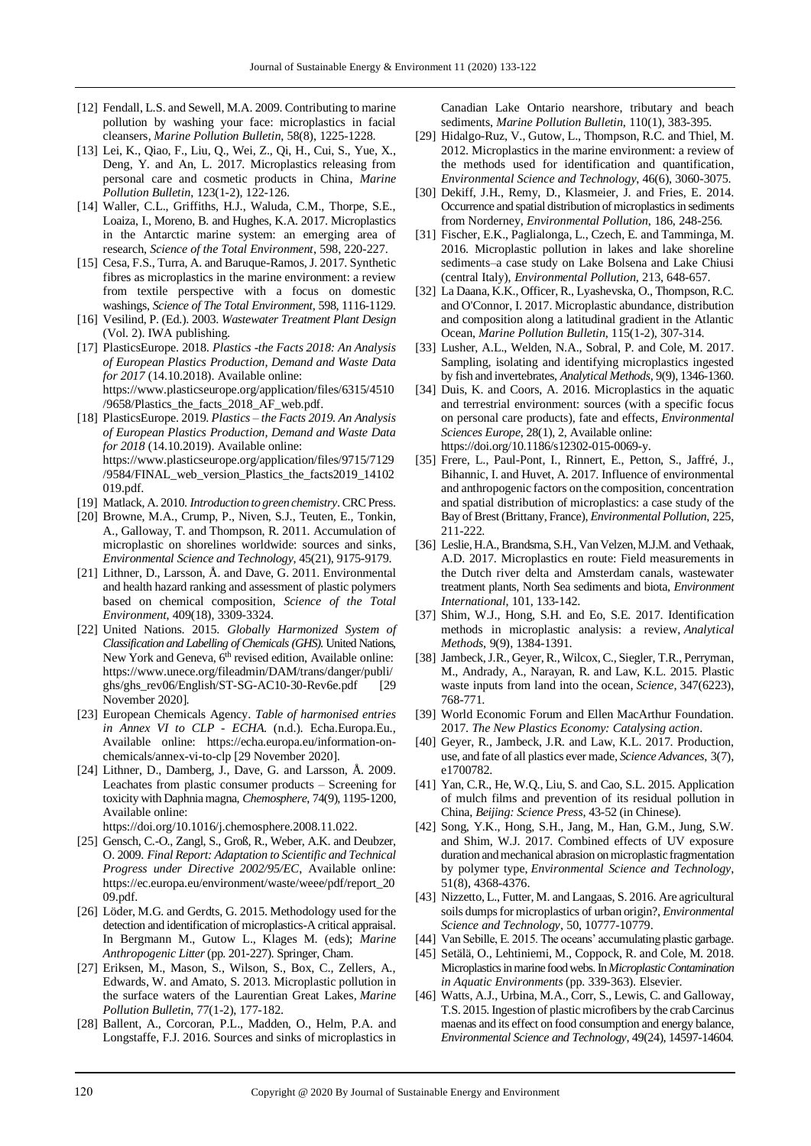- [12] Fendall, L.S. and Sewell, M.A. 2009. Contributing to marine pollution by washing your face: microplastics in facial cleansers, *Marine Pollution Bulletin*, 58(8), 1225-1228.
- [13] Lei, K., Qiao, F., Liu, Q., Wei, Z., Qi, H., Cui, S., Yue, X., Deng, Y. and An, L. 2017. Microplastics releasing from personal care and cosmetic products in China, *Marine Pollution Bulletin*, 123(1-2), 122-126.
- [14] Waller, C.L., Griffiths, H.J., Waluda, C.M., Thorpe, S.E., Loaiza, I., Moreno, B. and Hughes, K.A. 2017. Microplastics in the Antarctic marine system: an emerging area of research, *Science of the Total Environment*, 598, 220-227.
- [15] Cesa, F.S., Turra, A. and Baruque-Ramos, J. 2017. Synthetic fibres as microplastics in the marine environment: a review from textile perspective with a focus on domestic washings, *Science of The Total Environment*, 598, 1116-1129.
- [16] Vesilind, P. (Ed.). 2003. *Wastewater Treatment Plant Design* (Vol. 2). IWA publishing.
- [17] PlasticsEurope. 2018*. Plastics -the Facts 2018: An Analysis of European Plastics Production, Demand and Waste Data for 2017* (14.10.2018). Available online: https://www.plasticseurope.org/application/files/6315/4510 /9658/Plastics\_the\_facts\_2018\_AF\_web.pdf.
- [18] PlasticsEurope. 2019. *Plastics – the Facts 2019. An Analysis of European Plastics Production, Demand and Waste Data for 2018* (14.10.2019). Available online: https://www.plasticseurope.org/application/files/9715/7129 /9584/FINAL\_web\_version\_Plastics\_the\_facts2019\_14102 019.pdf.
- [19] Matlack, A. 2010. *Introduction to green chemistry*. CRC Press.
- [20] Browne, M.A., Crump, P., Niven, S.J., Teuten, E., Tonkin, A., Galloway, T. and Thompson, R. 2011. Accumulation of microplastic on shorelines worldwide: sources and sinks, *Environmental Science and Technology*, 45(21), 9175-9179.
- [21] Lithner, D., Larsson, Å. and Dave, G. 2011. Environmental and health hazard ranking and assessment of plastic polymers based on chemical composition, *Science of the Total Environment*, 409(18), 3309-3324.
- [22] United Nations. 2015. *Globally Harmonized System of Classification and Labelling of Chemicals(GHS)*. United Nations, New York and Geneva, 6<sup>th</sup> revised edition, Available online: https://www.unece.org/fileadmin/DAM/trans/danger/publi/ ghs/ghs\_rev06/English/ST-SG-AC10-30-Rev6e.pdf [29 November 2020].
- [23] European Chemicals Agency. *Table of harmonised entries in Annex VI to CLP - ECHA*. (n.d.). Echa.Europa.Eu., Available online: https://echa.europa.eu/information-onchemicals/annex-vi-to-clp [29 November 2020].
- [24] Lithner, D., Damberg, J., Dave, G. and Larsson, Å. 2009. Leachates from plastic consumer products – Screening for toxicity with Daphnia magna, *Chemosphere*, 74(9), 1195-1200, Available online:

https://doi.org/10.1016/j.chemosphere.2008.11.022.

- [25] Gensch, C.-O., Zangl, S., Groß, R., Weber, A.K. and Deubzer, O. 2009. *Final Report: Adaptation to Scientific and Technical Progress under Directive 2002/95/EC*, Available online: https://ec.europa.eu/environment/waste/weee/pdf/report\_20 09.pdf.
- [26] Löder, M.G. and Gerdts, G. 2015. Methodology used for the detection and identification of microplastics-A critical appraisal. In Bergmann M., Gutow L., Klages M. (eds); *Marine Anthropogenic Litter*(pp. 201-227). Springer, Cham.
- [27] Eriksen, M., Mason, S., Wilson, S., Box, C., Zellers, A., Edwards, W. and Amato, S. 2013. Microplastic pollution in the surface waters of the Laurentian Great Lakes, *Marine Pollution Bulletin*, 77(1-2), 177-182.
- [28] Ballent, A., Corcoran, P.L., Madden, O., Helm, P.A. and Longstaffe, F.J. 2016. Sources and sinks of microplastics in

Canadian Lake Ontario nearshore, tributary and beach sediments, *Marine Pollution Bulletin*, 110(1), 383-395.

- [29] Hidalgo-Ruz, V., Gutow, L., Thompson, R.C. and Thiel, M. 2012. Microplastics in the marine environment: a review of the methods used for identification and quantification, *Environmental Science and Technology*, 46(6), 3060-3075.
- [30] Dekiff, J.H., Remy, D., Klasmeier, J. and Fries, E. 2014. Occurrence and spatial distribution of microplastics in sediments from Norderney, *Environmental Pollution*, 186, 248-256.
- [31] Fischer, E.K., Paglialonga, L., Czech, E. and Tamminga, M. 2016. Microplastic pollution in lakes and lake shoreline sediments–a case study on Lake Bolsena and Lake Chiusi (central Italy), *Environmental Pollution*, 213, 648-657.
- [32] La Daana, K.K., Officer, R., Lyashevska, O., Thompson, R.C. and O'Connor, I. 2017. Microplastic abundance, distribution and composition along a latitudinal gradient in the Atlantic Ocean, *Marine Pollution Bulletin*, 115(1-2), 307-314.
- [33] Lusher, A.L., Welden, N.A., Sobral, P. and Cole, M. 2017. Sampling, isolating and identifying microplastics ingested by fish and invertebrates, *Analytical Methods*, 9(9), 1346-1360.
- [34] Duis, K. and Coors, A. 2016. Microplastics in the aquatic and terrestrial environment: sources (with a specific focus on personal care products), fate and effects, *Environmental Sciences Europe*, 28(1), 2, Available online: https://doi.org/10.1186/s12302-015-0069-y.
- [35] Frere, L., Paul-Pont, I., Rinnert, E., Petton, S., Jaffré, J., Bihannic, I. and Huvet, A. 2017. Influence of environmental and anthropogenic factors on the composition, concentration and spatial distribution of microplastics: a case study of the Bay of Brest (Brittany, France), *Environmental Pollution*, 225, 211-222.
- [36] Leslie, H.A., Brandsma, S.H., Van Velzen, M.J.M. and Vethaak, A.D. 2017. Microplastics en route: Field measurements in the Dutch river delta and Amsterdam canals, wastewater treatment plants, North Sea sediments and biota, *Environment International*, 101, 133-142.
- [37] Shim, W.J., Hong, S.H. and Eo, S.E. 2017. Identification methods in microplastic analysis: a review, *Analytical Methods*, 9(9), 1384-1391.
- [38] Jambeck, J.R., Geyer, R., Wilcox, C., Siegler, T.R., Perryman, M., Andrady, A., Narayan, R. and Law, K.L. 2015. Plastic waste inputs from land into the ocean, *Science*, 347(6223), 768-771.
- [39] World Economic Forum and Ellen MacArthur Foundation. 2017. *The New Plastics Economy: Catalysing action*.
- [40] Geyer, R., Jambeck, J.R. and Law, K.L. 2017. Production, use, and fate of all plastics ever made, *Science Advances*, 3(7), e1700782.
- [41] Yan, C.R., He, W.Q., Liu, S. and Cao, S.L. 2015. Application of mulch films and prevention of its residual pollution in China, *Beijing: Science Press*, 43-52 (in Chinese).
- [42] Song, Y.K., Hong, S.H., Jang, M., Han, G.M., Jung, S.W. and Shim, W.J. 2017. Combined effects of UV exposure duration and mechanical abrasion on microplastic fragmentation by polymer type, *Environmental Science and Technology*, 51(8), 4368-4376.
- [43] Nizzetto, L., Futter, M. and Langaas, S. 2016. Are agricultural soils dumps for microplastics of urban origin?, *Environmental Science and Technology*, 50, 10777-10779.
- [44] Van Sebille, E. 2015. The oceans' accumulating plastic garbage.
- [45] Setälä, O., Lehtiniemi, M., Coppock, R. and Cole, M. 2018. Microplastics in marine food webs. In *Microplastic Contamination in Aquatic Environments* (pp. 339-363). Elsevier.
- [46] Watts, A.J., Urbina, M.A., Corr, S., Lewis, C. and Galloway, T.S. 2015. Ingestion of plastic microfibers by the crab Carcinus maenas and its effect on food consumption and energy balance, *Environmental Science and Technology*, 49(24), 14597-14604*.*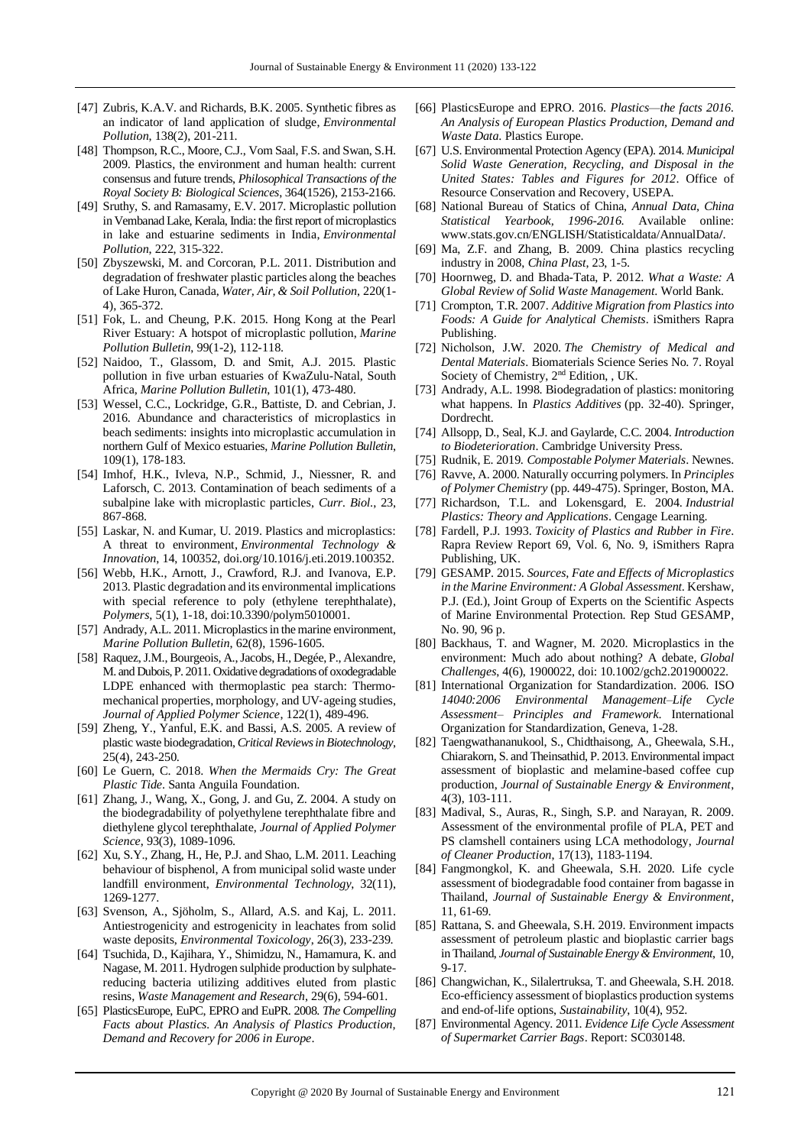- [47] Zubris, K.A.V. and Richards, B.K. 2005. Synthetic fibres as an indicator of land application of sludge, *Environmental Pollution*, 138(2), 201-211.
- [48] Thompson, R.C., Moore, C.J., Vom Saal, F.S. and Swan, S.H. 2009. Plastics, the environment and human health: current consensus and future trends, *Philosophical Transactions of the Royal Society B: Biological Sciences*, 364(1526), 2153-2166.
- [49] Sruthy, S. and Ramasamy, E.V. 2017. Microplastic pollution in Vembanad Lake, Kerala, India: the first report of microplastics in lake and estuarine sediments in India, *Environmental Pollution*, 222, 315-322.
- [50] Zbyszewski, M. and Corcoran, P.L. 2011. Distribution and degradation of freshwater plastic particles along the beaches of Lake Huron, Canada, *Water, Air, & Soil Pollution*, 220(1- 4), 365-372.
- [51] Fok, L. and Cheung, P.K. 2015. Hong Kong at the Pearl River Estuary: A hotspot of microplastic pollution, *Marine Pollution Bulletin*, 99(1-2), 112-118.
- [52] Naidoo, T., Glassom, D. and Smit, A.J. 2015. Plastic pollution in five urban estuaries of KwaZulu-Natal, South Africa, *Marine Pollution Bulletin*, 101(1), 473-480.
- [53] Wessel, C.C., Lockridge, G.R., Battiste, D. and Cebrian, J. 2016. Abundance and characteristics of microplastics in beach sediments: insights into microplastic accumulation in northern Gulf of Mexico estuaries, *Marine Pollution Bulletin*, 109(1), 178-183.
- [54] Imhof, H.K., Ivleva, N.P., Schmid, J., Niessner, R. and Laforsch, C. 2013. Contamination of beach sediments of a subalpine lake with microplastic particles, *Curr. Biol*., 23, 867-868.
- [55] Laskar, N. and Kumar, U. 2019. Plastics and microplastics: A threat to environment, *Environmental Technology & Innovation*, 14, 100352, doi.org/10.1016/j.eti.2019.100352.
- [56] Webb, H.K., Arnott, J., Crawford, R.J. and Ivanova, E.P. 2013. Plastic degradation and its environmental implications with special reference to poly (ethylene terephthalate), *Polymers*, 5(1), 1-18, doi:10.3390/polym5010001.
- [57] Andrady, A.L. 2011. Microplastics in the marine environment, *Marine Pollution Bulletin*, 62(8), 1596-1605.
- [58] Raquez, J.M., Bourgeois, A., Jacobs, H., Degée, P., Alexandre, M. and Dubois, P. 2011. Oxidative degradations of oxodegradable LDPE enhanced with thermoplastic pea starch: Thermomechanical properties, morphology, and UV‐ageing studies, *Journal of Applied Polymer Science*, 122(1), 489-496.
- [59] Zheng, Y., Yanful, E.K. and Bassi, A.S. 2005. A review of plastic waste biodegradation, *Critical Reviews in Biotechnology*, 25(4), 243-250.
- [60] Le Guern, C. 2018. *When the Mermaids Cry: The Great Plastic Tide*. Santa Anguila Foundation.
- [61] Zhang, J., Wang, X., Gong, J. and Gu, Z. 2004. A study on the biodegradability of polyethylene terephthalate fibre and diethylene glycol terephthalate, *Journal of Applied Polymer Science*, 93(3), 1089-1096.
- [62] Xu, S.Y., Zhang, H., He, P.J. and Shao, L.M. 2011. Leaching behaviour of bisphenol, A from municipal solid waste under landfill environment, *Environmental Technology*, 32(11), 1269-1277.
- [63] Svenson, A., Sjöholm, S., Allard, A.S. and Kaj, L. 2011. Antiestrogenicity and estrogenicity in leachates from solid waste deposits, *Environmental Toxicology*, 26(3), 233-239.
- [64] Tsuchida, D., Kajihara, Y., Shimidzu, N., Hamamura, K. and Nagase, M. 2011. Hydrogen sulphide production by sulphatereducing bacteria utilizing additives eluted from plastic resins, *Waste Management and Research*, 29(6), 594-601.
- [65] PlasticsEurope, EuPC, EPRO and EuPR. 2008. *The Compelling Facts about Plastics. An Analysis of Plastics Production, Demand and Recovery for 2006 in Europe*.
- [66] PlasticsEurope and EPRO. 2016. *Plastics—the facts 2016. An Analysis of European Plastics Production, Demand and Waste Data*. Plastics Europe.
- [67] U.S. Environmental Protection Agency (EPA). 2014. *Municipal Solid Waste Generation, Recycling, and Disposal in the United States: Tables and Figures for 2012*. Office of Resource Conservation and Recovery, USEPA.
- [68] National Bureau of Statics of China, *Annual Data, China Statistical Yearbook, 1996-2016*. Available online: www.stats.gov.cn/ENGLISH/Statisticaldata/AnnualData**/**.
- [69] Ma, Z.F. and Zhang, B. 2009. China plastics recycling industry in 2008, *China Plast*, 23, 1-5.
- [70] Hoornweg, D. and Bhada-Tata, P. 2012. *What a Waste: A Global Review of Solid Waste Management*. World Bank.
- [71] Crompton, T.R. 2007. *Additive Migration from Plastics into Foods: A Guide for Analytical Chemists*. iSmithers Rapra Publishing.
- [72] Nicholson, J.W. 2020. *The Chemistry of Medical and Dental Materials*. Biomaterials Science Series No. 7. Royal Society of Chemistry, 2<sup>nd</sup> Edition, , UK.
- [73] Andrady, A.L. 1998. Biodegradation of plastics: monitoring what happens. In *Plastics Additives* (pp. 32-40). Springer, Dordrecht.
- [74] Allsopp, D., Seal, K.J. and Gaylarde, C.C. 2004. *Introduction to Biodeterioration*. Cambridge University Press.
- [75] Rudnik, E. 2019. *Compostable Polymer Materials*. Newnes.
- [76] Ravve, A. 2000. Naturally occurring polymers. In *Principles of Polymer Chemistry* (pp. 449-475). Springer, Boston, MA.
- [77] Richardson, T.L. and Lokensgard, E. 2004. *Industrial Plastics: Theory and Applications*. Cengage Learning.
- [78] Fardell, P.J. 1993. *Toxicity of Plastics and Rubber in Fire*. Rapra Review Report 69, Vol. 6, No. 9, iSmithers Rapra Publishing, UK.
- [79] GESAMP. 2015. *Sources, Fate and Effects of Microplastics in the Marine Environment: A Global Assessment*. Kershaw, P.J. (Ed.), Joint Group of Experts on the Scientific Aspects of Marine Environmental Protection. Rep Stud GESAMP, No. 90, 96 p.
- [80] Backhaus, T. and Wagner, M. 2020. Microplastics in the environment: Much ado about nothing? A debate, *Global Challenges*, 4(6), 1900022, doi: 10.1002/gch2.201900022.
- [81] International Organization for Standardization. 2006. ISO *14040:2006 Environmental Management–Life Cycle Assessment– Principles and Framework*. International Organization for Standardization, Geneva, 1-28.
- [82] Taengwathananukool, S., Chidthaisong, A., Gheewala, S.H., Chiarakorn, S. and Theinsathid, P. 2013. Environmental impact assessment of bioplastic and melamine-based coffee cup production, *Journal of Sustainable Energy & Environment*, 4(3), 103-111.
- [83] Madival, S., Auras, R., Singh, S.P. and Narayan, R. 2009. Assessment of the environmental profile of PLA, PET and PS clamshell containers using LCA methodology, *Journal of Cleaner Production*, 17(13), 1183-1194.
- [84] Fangmongkol, K. and Gheewala, S.H. 2020. Life cycle assessment of biodegradable food container from bagasse in Thailand, *Journal of Sustainable Energy & Environment*, 11, 61-69.
- [85] Rattana, S. and Gheewala, S.H. 2019. Environment impacts assessment of petroleum plastic and bioplastic carrier bags in Thailand, *Journal of Sustainable Energy & Environment*, 10, 9-17.
- [86] Changwichan, K., Silalertruksa, T. and Gheewala, S.H. 2018. Eco-efficiency assessment of bioplastics production systems and end-of-life options, *Sustainability*, 10(4), 952.
- [87] Environmental Agency. 2011. *Evidence Life Cycle Assessment of Supermarket Carrier Bags*. Report: SC030148.